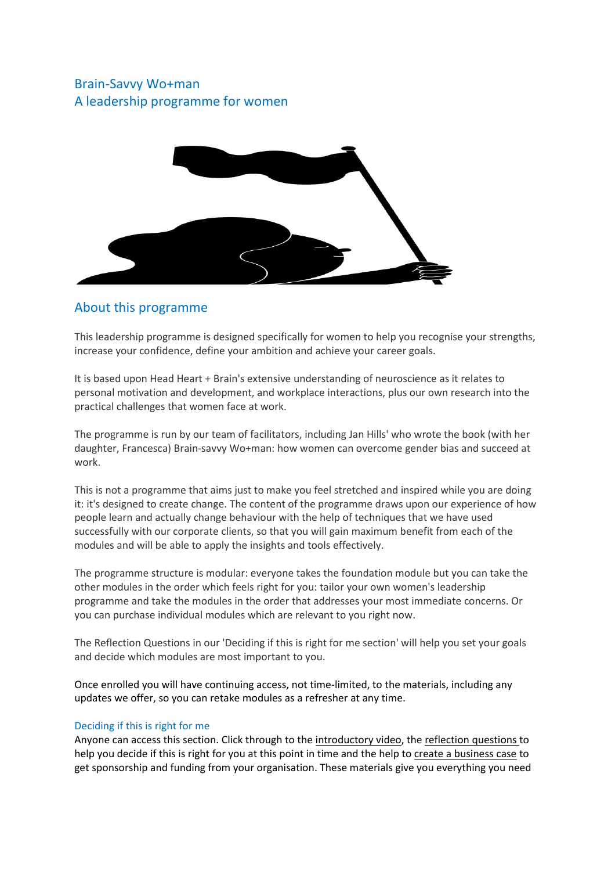# Brain-Savvy Wo+man A leadership programme for women



# About this programme

This leadership programme is designed specifically for women to help you recognise your strengths, increase your confidence, define your ambition and achieve your career goals.

It is based upon Head Heart + Brain's extensive understanding of neuroscience as it relates to personal motivation and development, and workplace interactions, plus our own research into the practical challenges that women face at work.

The programme is run by our team of facilitators, including Jan Hills' who wrote the book (with her daughter, Francesca) Brain-savvy Wo+man: how women can overcome gender bias and succeed at work.

This is not a programme that aims just to make you feel stretched and inspired while you are doing it: it's designed to create change. The content of the programme draws upon our experience of how people learn and actually change behaviour with the help of techniques that we have used successfully with our corporate clients, so that you will gain maximum benefit from each of the modules and will be able to apply the insights and tools effectively.

The programme structure is modular: everyone takes the foundation module but you can take the other modules in the order which feels right for you: tailor your own women's leadership programme and take the modules in the order that addresses your most immediate concerns. Or you can purchase individual modules which are relevant to you right now.

The Reflection Questions in our 'Deciding if this is right for me section' will help you set your goals and decide which modules are most important to you.

Once enrolled you will have continuing access, not time-limited, to the materials, including any updates we offer, so you can retake modules as a refresher at any time.

### Deciding if this is right for me

Anyone can access this section. Click through to the introductory video, the reflection questions to help you decide if this is right for you at this point in time and the help to create a business case to get sponsorship and funding from your organisation. These materials give you everything you need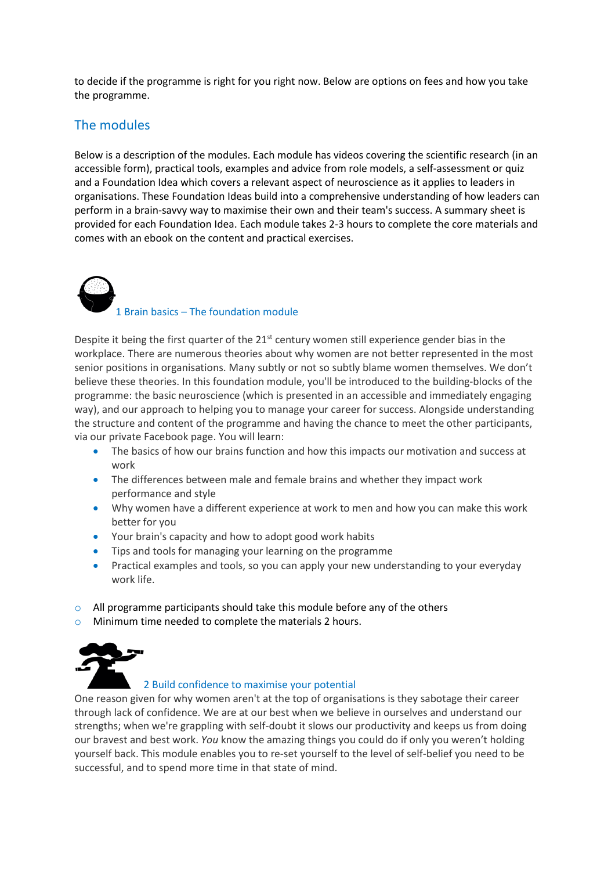to decide if the programme is right for you right now. Below are options on fees and how you take the programme.

# The modules

Below is a description of the modules. Each module has videos covering the scientific research (in an accessible form), practical tools, examples and advice from role models, a self-assessment or quiz and a Foundation Idea which covers a relevant aspect of neuroscience as it applies to leaders in organisations. These Foundation Ideas build into a comprehensive understanding of how leaders can perform in a brain-savvy way to maximise their own and their team's success. A summary sheet is provided for each Foundation Idea. Each module takes 2-3 hours to complete the core materials and comes with an ebook on the content and practical exercises.

1 Brain basics – The foundation module

Despite it being the first quarter of the  $21<sup>st</sup>$  century women still experience gender bias in the workplace. There are numerous theories about why women are not better represented in the most senior positions in organisations. Many subtly or not so subtly blame women themselves. We don't believe these theories. In this foundation module, you'll be introduced to the building-blocks of the programme: the basic neuroscience (which is presented in an accessible and immediately engaging way), and our approach to helping you to manage your career for success. Alongside understanding the structure and content of the programme and having the chance to meet the other participants, via our private Facebook page. You will learn:

- The basics of how our brains function and how this impacts our motivation and success at work
- The differences between male and female brains and whether they impact work performance and style
- Why women have a different experience at work to men and how you can make this work better for you
- Your brain's capacity and how to adopt good work habits
- Tips and tools for managing your learning on the programme
- Practical examples and tools, so you can apply your new understanding to your everyday work life.
- o All programme participants should take this module before any of the others
- o Minimum time needed to complete the materials 2 hours.



### 2 Build confidence to maximise your potential

One reason given for why women aren't at the top of organisations is they sabotage their career through lack of confidence. We are at our best when we believe in ourselves and understand our strengths; when we're grappling with self-doubt it slows our productivity and keeps us from doing our bravest and best work. *You* know the amazing things you could do if only you weren't holding yourself back. This module enables you to re-set yourself to the level of self-belief you need to be successful, and to spend more time in that state of mind.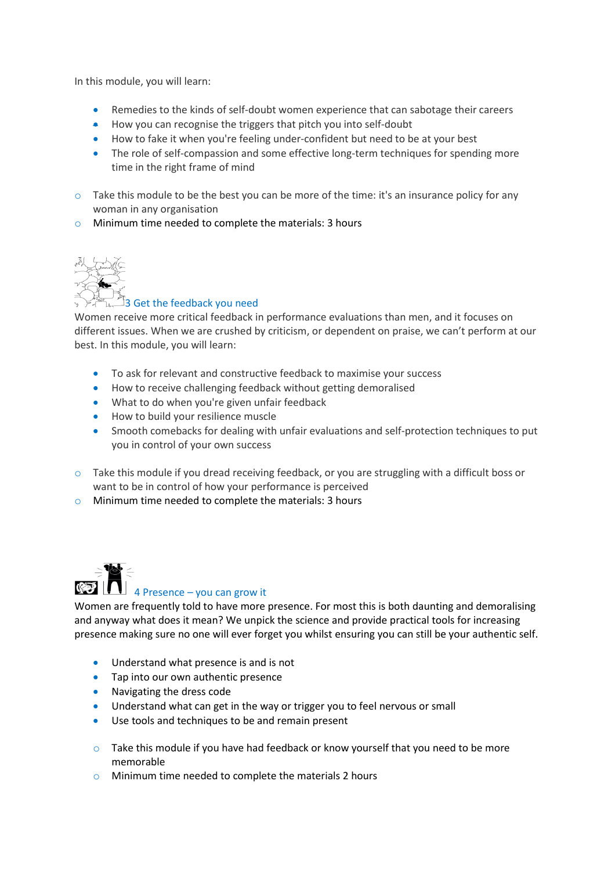In this module, you will learn:

- Remedies to the kinds of self-doubt women experience that can sabotage their careers
- How you can recognise the triggers that pitch you into self-doubt
- How to fake it when you're feeling under-confident but need to be at your best
- The role of self-compassion and some effective long-term techniques for spending more time in the right frame of mind
- o Take this module to be the best you can be more of the time: it's an insurance policy for any woman in any organisation
- o Minimum time needed to complete the materials: 3 hours



## $\mathbb{R}$  3 Get the feedback you need

Women receive more critical feedback in performance evaluations than men, and it focuses on different issues. When we are crushed by criticism, or dependent on praise, we can't perform at our best. In this module, you will learn:

- To ask for relevant and constructive feedback to maximise your success
- How to receive challenging feedback without getting demoralised
- What to do when you're given unfair feedback
- How to build your resilience muscle
- Smooth comebacks for dealing with unfair evaluations and self-protection techniques to put you in control of your own success
- $\circ$  Take this module if you dread receiving feedback, or you are struggling with a difficult boss or want to be in control of how your performance is perceived
- o Minimum time needed to complete the materials: 3 hours



# 4 Presence – you can grow it

Women are frequently told to have more presence. For most this is both daunting and demoralising and anyway what does it mean? We unpick the science and provide practical tools for increasing presence making sure no one will ever forget you whilst ensuring you can still be your authentic self.

- Understand what presence is and is not
- Tap into our own authentic presence
- Navigating the dress code
- Understand what can get in the way or trigger you to feel nervous or small
- Use tools and techniques to be and remain present
- $\circ$  Take this module if you have had feedback or know yourself that you need to be more memorable
- o Minimum time needed to complete the materials 2 hours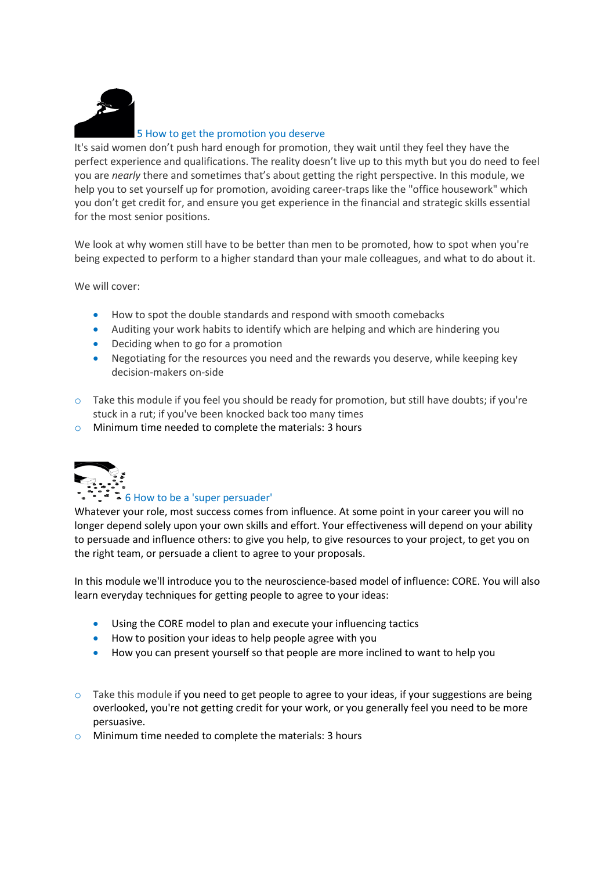

### 5 How to get the promotion you deserve

It's said women don't push hard enough for promotion, they wait until they feel they have the perfect experience and qualifications. The reality doesn't live up to this myth but you do need to feel you are *nearly* there and sometimes that's about getting the right perspective. In this module, we help you to set yourself up for promotion, avoiding career-traps like the "office housework" which you don't get credit for, and ensure you get experience in the financial and strategic skills essential for the most senior positions.

We look at why women still have to be better than men to be promoted, how to spot when you're being expected to perform to a higher standard than your male colleagues, and what to do about it.

We will cover:

- How to spot the double standards and respond with smooth comebacks
- Auditing your work habits to identify which are helping and which are hindering you
- Deciding when to go for a promotion
- Negotiating for the resources you need and the rewards you deserve, while keeping key decision-makers on-side
- $\circ$  Take this module if you feel you should be ready for promotion, but still have doubts; if you're stuck in a rut; if you've been knocked back too many times
- o Minimum time needed to complete the materials: 3 hours



### 6 How to be a 'super persuader'

Whatever your role, most success comes from influence. At some point in your career you will no longer depend solely upon your own skills and effort. Your effectiveness will depend on your ability to persuade and influence others: to give you help, to give resources to your project, to get you on the right team, or persuade a client to agree to your proposals.

In this module we'll introduce you to the neuroscience-based model of influence: CORE. You will also learn everyday techniques for getting people to agree to your ideas:

- Using the CORE model to plan and execute your influencing tactics
- How to position your ideas to help people agree with you
- How you can present yourself so that people are more inclined to want to help you
- $\circ$  Take this module if you need to get people to agree to your ideas, if your suggestions are being overlooked, you're not getting credit for your work, or you generally feel you need to be more persuasive.
- o Minimum time needed to complete the materials: 3 hours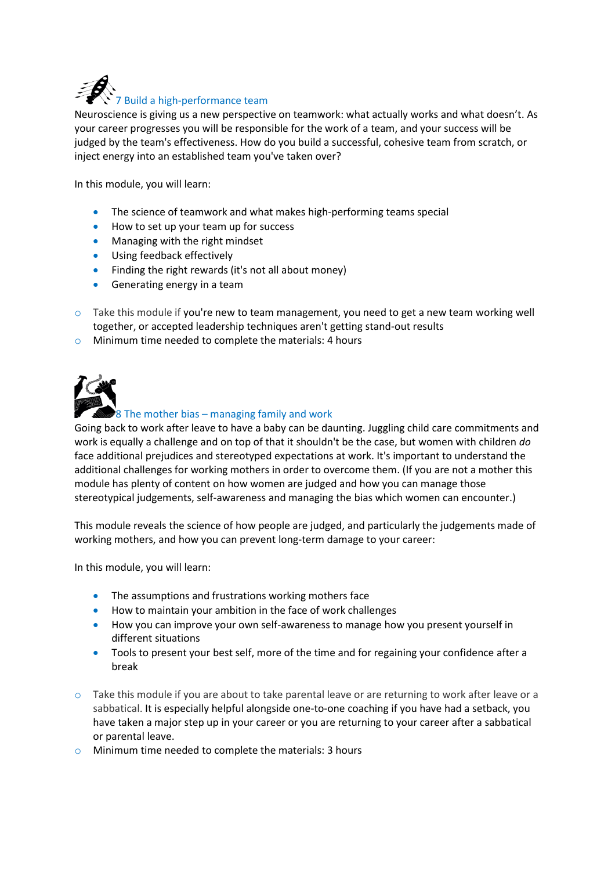

Neuroscience is giving us a new perspective on teamwork: what actually works and what doesn't. As your career progresses you will be responsible for the work of a team, and your success will be judged by the team's effectiveness. How do you build a successful, cohesive team from scratch, or inject energy into an established team you've taken over?

In this module, you will learn:

- The science of teamwork and what makes high-performing teams special
- How to set up your team up for success
- Managing with the right mindset
- Using feedback effectively
- Finding the right rewards (it's not all about money)
- Generating energy in a team
- $\circ$  Take this module if you're new to team management, you need to get a new team working well together, or accepted leadership techniques aren't getting stand-out results
- o Minimum time needed to complete the materials: 4 hours



## 8 The mother bias – managing family and work

Going back to work after leave to have a baby can be daunting. Juggling child care commitments and work is equally a challenge and on top of that it shouldn't be the case, but women with children *do* face additional prejudices and stereotyped expectations at work. It's important to understand the additional challenges for working mothers in order to overcome them. (If you are not a mother this module has plenty of content on how women are judged and how you can manage those stereotypical judgements, self-awareness and managing the bias which women can encounter.)

This module reveals the science of how people are judged, and particularly the judgements made of working mothers, and how you can prevent long-term damage to your career:

In this module, you will learn:

- The assumptions and frustrations working mothers face
- How to maintain your ambition in the face of work challenges
- How you can improve your own self-awareness to manage how you present yourself in different situations
- Tools to present your best self, more of the time and for regaining your confidence after a break
- $\circ$  Take this module if you are about to take parental leave or are returning to work after leave or a sabbatical. It is especially helpful alongside one-to-one coaching if you have had a setback, you have taken a major step up in your career or you are returning to your career after a sabbatical or parental leave.
- o Minimum time needed to complete the materials: 3 hours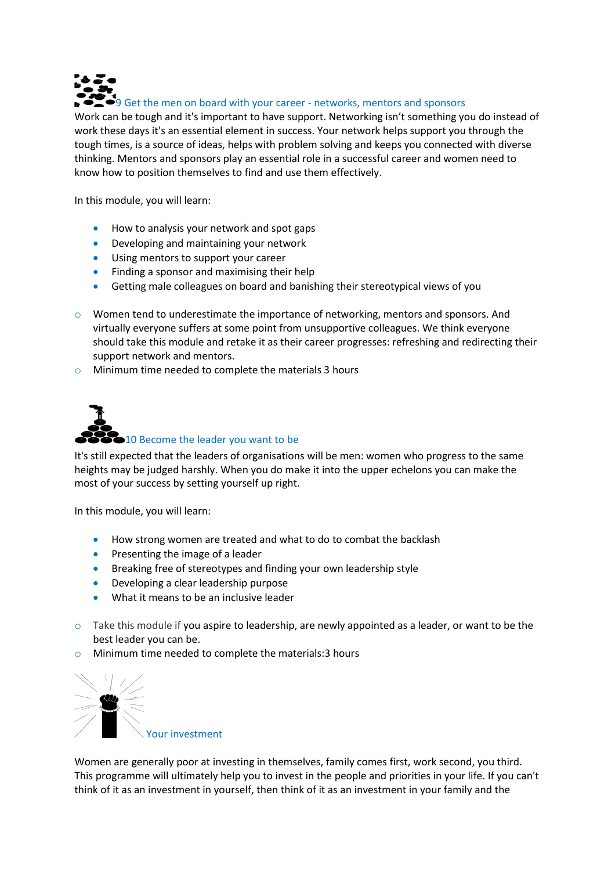

Work can be tough and it's important to have support. Networking isn't something you do instead of work these days it's an essential element in success. Your network helps support you through the tough times, is a source of ideas, helps with problem solving and keeps you connected with diverse thinking. Mentors and sponsors play an essential role in a successful career and women need to know how to position themselves to find and use them effectively.

In this module, you will learn:

- How to analysis your network and spot gaps
- Developing and maintaining your network
- Using mentors to support your career
- Finding a sponsor and maximising their help
- Getting male colleagues on board and banishing their stereotypical views of you
- o Women tend to underestimate the importance of networking, mentors and sponsors. And virtually everyone suffers at some point from unsupportive colleagues. We think everyone should take this module and retake it as their career progresses: refreshing and redirecting their support network and mentors.
- o Minimum time needed to complete the materials 3 hours



It's still expected that the leaders of organisations will be men: women who progress to the same heights may be judged harshly. When you do make it into the upper echelons you can make the most of your success by setting yourself up right.

In this module, you will learn:

- How strong women are treated and what to do to combat the backlash
- Presenting the image of a leader
- Breaking free of stereotypes and finding your own leadership style
- Developing a clear leadership purpose
- What it means to be an inclusive leader
- o Take this module if you aspire to leadership, are newly appointed as a leader, or want to be the best leader you can be.
- o Minimum time needed to complete the materials:3 hours



Women are generally poor at investing in themselves, family comes first, work second, you third. This programme will ultimately help you to invest in the people and priorities in your life. If you can't think of it as an investment in yourself, then think of it as an investment in your family and the